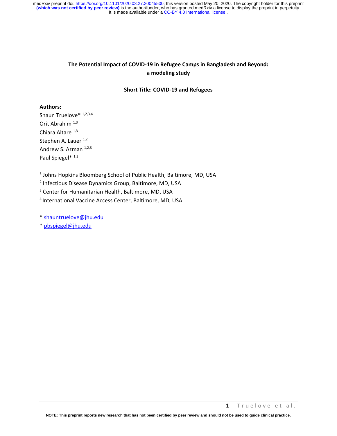# **The Potential Impact of COVID-19 in Refugee Camps in Bangladesh and Beyond: a modeling study**

#### **Short Title: COVID-19 and Refugees**

#### **Authors:**

Shaun Truelove<sup>\* 1,2,3,4</sup> Orit Abrahim 1,3 Chiara Altare  $1,3$ Stephen A. Lauer<sup>1,2</sup> Andrew S. Azman 1,2,3 Paul Spiegel\*<sup>1,3</sup>

<sup>1</sup> Johns Hopkins Bloomberg School of Public Health, Baltimore, MD, USA

2 Infectious Disease Dynamics Group, Baltimore, MD, USA

<sup>3</sup> Center for Humanitarian Health, Baltimore, MD, USA

4 International Vaccine Access Center, Baltimore, MD, USA

\* [shauntruelove@jhu.edu](mailto:shauntruelove@jhu.edu)

\* [pbspiegel@jhu.edu](mailto:pbspiegel@jhu.edu)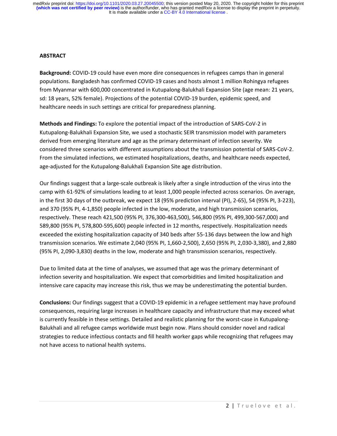### **ABSTRACT**

**Background:** COVID-19 could have even more dire consequences in refugees camps than in general populations. Bangladesh has confirmed COVID-19 cases and hosts almost 1 million Rohingya refugees from Myanmar with 600,000 concentrated in Kutupalong-Balukhali Expansion Site (age mean: 21 years, sd: 18 years, 52% female). Projections of the potential COVID-19 burden, epidemic speed, and healthcare needs in such settings are critical for preparedness planning.

**Methods and Findings:** To explore the potential impact of the introduction of SARS-CoV-2 in Kutupalong-Balukhali Expansion Site, we used a stochastic SEIR transmission model with parameters derived from emerging literature and age as the primary determinant of infection severity. We considered three scenarios with different assumptions about the transmission potential of SARS-CoV-2. From the simulated infections, we estimated hospitalizations, deaths, and healthcare needs expected, age-adjusted for the Kutupalong-Balukhali Expansion Site age distribution.

Our findings suggest that a large-scale outbreak is likely after a single introduction of the virus into the camp with 61-92% of simulations leading to at least 1,000 people infected across scenarios. On average, in the first 30 days of the outbreak, we expect 18 (95% prediction interval (PI), 2-65), 54 (95% PI, 3-223), and 370 (95% PI, 4-1,850) people infected in the low, moderate, and high transmission scenarios, respectively. These reach 421,500 (95% PI, 376,300-463,500), 546,800 (95% PI, 499,300-567,000) and 589,800 (95% PI, 578,800-595,600) people infected in 12 months, respectively. Hospitalization needs exceeded the existing hospitalization capacity of 340 beds after 55-136 days between the low and high transmission scenarios. We estimate 2,040 (95% PI, 1,660-2,500), 2,650 (95% PI, 2,030-3,380), and 2,880 (95% PI, 2,090-3,830) deaths in the low, moderate and high transmission scenarios, respectively.

Due to limited data at the time of analyses, we assumed that age was the primary determinant of infection severity and hospitalization. We expect that comorbidities and limited hospitalization and intensive care capacity may increase this risk, thus we may be underestimating the potential burden.

**Conclusions:** Our findings suggest that a COVID-19 epidemic in a refugee settlement may have profound consequences, requiring large increases in healthcare capacity and infrastructure that may exceed what is currently feasible in these settings. Detailed and realistic planning for the worst-case in Kutupalong-Balukhali and all refugee camps worldwide must begin now. Plans should consider novel and radical strategies to reduce infectious contacts and fill health worker gaps while recognizing that refugees may not have access to national health systems.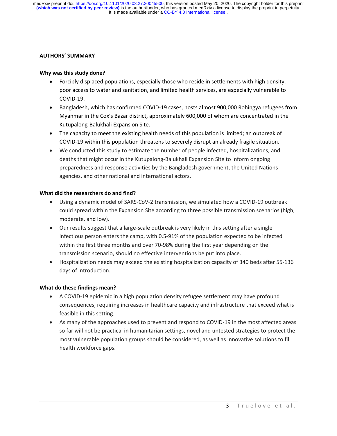### **AUTHORS' SUMMARY**

# **Why was this study done?**

- Forcibly displaced populations, especially those who reside in settlements with high density, poor access to water and sanitation, and limited health services, are especially vulnerable to COVID-19.
- Bangladesh, which has confirmed COVID-19 cases, hosts almost 900,000 Rohingya refugees from Myanmar in the Cox's Bazar district, approximately 600,000 of whom are concentrated in the Kutupalong-Balukhali Expansion Site.
- The capacity to meet the existing health needs of this population is limited; an outbreak of COVID-19 within this population threatens to severely disrupt an already fragile situation.
- We conducted this study to estimate the number of people infected, hospitalizations, and deaths that might occur in the Kutupalong-Balukhali Expansion Site to inform ongoing preparedness and response activities by the Bangladesh government, the United Nations agencies, and other national and international actors.

### **What did the researchers do and find?**

- Using a dynamic model of SARS-CoV-2 transmission, we simulated how a COVID-19 outbreak could spread within the Expansion Site according to three possible transmission scenarios (high, moderate, and low).
- Our results suggest that a large-scale outbreak is very likely in this setting after a single infectious person enters the camp, with 0.5-91% of the population expected to be infected within the first three months and over 70-98% during the first year depending on the transmission scenario, should no effective interventions be put into place.
- Hospitalization needs may exceed the existing hospitalization capacity of 340 beds after 55-136 days of introduction.

# **What do these findings mean?**

- A COVID-19 epidemic in a high population density refugee settlement may have profound consequences, requiring increases in healthcare capacity and infrastructure that exceed what is feasible in this setting.
- As many of the approaches used to prevent and respond to COVID-19 in the most affected areas so far will not be practical in humanitarian settings, novel and untested strategies to protect the most vulnerable population groups should be considered, as well as innovative solutions to fill health workforce gaps.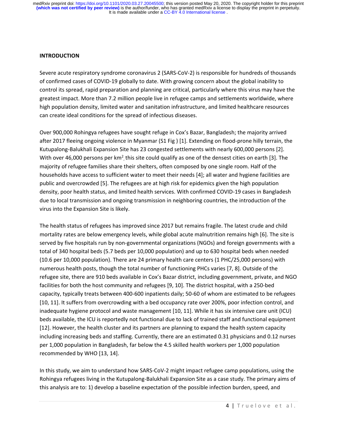#### **INTRODUCTION**

Severe acute respiratory syndrome coronavirus 2 (SARS-CoV-2) is responsible for hundreds of thousands of confirmed cases of COVID-19 globally to date. With growing concern about the global inability to control its spread, rapid preparation and planning are critical, particularly where this virus may have the greatest impact. More than 7.2 million people live in refugee camps and settlements worldwide, where high population density, limited water and sanitation infrastructure, and limited healthcare resources can create ideal conditions for the spread of infectious diseases.

Over 900,000 Rohingya refugees have sought refuge in Cox's Bazar, Bangladesh; the majority arrived after 2017 fleeing ongoing violence in Myanmar (S1 Fig ) [1]. Extending on flood-prone hilly terrain, the Kutupalong-Balukhali Expansion Site has 23 congested settlements with nearly 600,000 persons [2]. With over 46,000 persons per km<sup>2</sup>, this site could qualify as one of the densest cities on earth [3]. The majority of refugee families share their shelters, often composed by one single room. Half of the households have access to sufficient water to meet their needs [4]; all water and hygiene facilities are public and overcrowded [5]. The refugees are at high risk for epidemics given the high population density, poor health status, and limited health services. With confirmed COVID-19 cases in Bangladesh due to local transmission and ongoing transmission in neighboring countries, the introduction of the virus into the Expansion Site is likely.

The health status of refugees has improved since 2017 but remains fragile. The latest crude and child mortality rates are below emergency levels, while global acute malnutrition remains high [6]. The site is served by five hospitals run by non-governmental organizations (NGOs) and foreign governments with a total of 340 hospital beds (5.7 beds per 10,000 population) and up to 630 hospital beds when needed (10.6 per 10,000 population). There are 24 primary health care centers (1 PHC/25,000 persons) with numerous health posts, though the total number of functioning PHCs varies [7, 8]. Outside of the refugee site, there are 910 beds available in Cox's Bazar district, including government, private, and NGO facilities for both the host community and refugees [9, 10]. The district hospital, with a 250-bed capacity, typically treats between 400-600 inpatients daily; 50-60 of whom are estimated to be refugees [10, 11]. It suffers from overcrowding with a bed occupancy rate over 200%, poor infection control, and inadequate hygiene protocol and waste management [10, 11]. While it has six intensive care unit (ICU) beds available, the ICU is reportedly not functional due to lack of trained staff and functional equipment [12]. However, the health cluster and its partners are planning to expand the health system capacity including increasing beds and staffing. Currently, there are an estimated 0.31 physicians and 0.12 nurses per 1,000 population in Bangladesh, far below the 4.5 skilled health workers per 1,000 population recommended by WHO [13, 14].

In this study, we aim to understand how SARS-CoV-2 might impact refugee camp populations, using the Rohingya refugees living in the Kutupalong-Balukhali Expansion Site as a case study. The primary aims of this analysis are to: 1) develop a baseline expectation of the possible infection burden, speed, and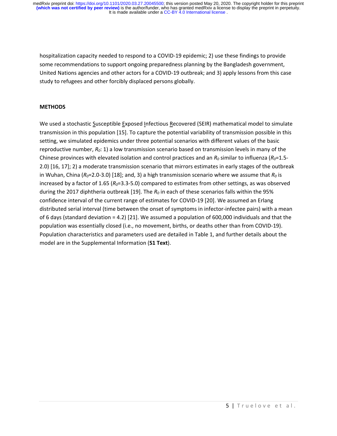hospitalization capacity needed to respond to a COVID-19 epidemic; 2) use these findings to provide some recommendations to support ongoing preparedness planning by the Bangladesh government, United Nations agencies and other actors for a COVID-19 outbreak; and 3) apply lessons from this case study to refugees and other forcibly displaced persons globally.

# **METHODS**

We used a stochastic Susceptible Exposed Infectious Recovered (SEIR) mathematical model to simulate transmission in this population [15]. To capture the potential variability of transmission possible in this setting, we simulated epidemics under three potential scenarios with different values of the basic reproductive number, *R0*: 1) a low transmission scenario based on transmission levels in many of the Chinese provinces with elevated isolation and control practices and an  $R_0$  similar to influenza ( $R_0$ =1.5-2.0) [16, 17]; 2) a moderate transmission scenario that mirrors estimates in early stages of the outbreak in Wuhan, China (*R0*=2.0-3.0) [18]; and, 3) a high transmission scenario where we assume that *R<sup>0</sup>* is increased by a factor of 1.65 (*R0*=3.3-5.0) compared to estimates from other settings, as was observed during the 2017 diphtheria outbreak [19]. The *R<sup>0</sup>* in each of these scenarios falls within the 95% confidence interval of the current range of estimates for COVID-19 [20]. We assumed an Erlang distributed serial interval (time between the onset of symptoms in infector-infectee pairs) with a mean of 6 days (standard deviation = 4.2) [21]. We assumed a population of 600,000 individuals and that the population was essentially closed (i.e., no movement, births, or deaths other than from COVID-19). Population characteristics and parameters used are detailed in Table 1, and further details about the model are in the Supplemental Information (**S1 Text**).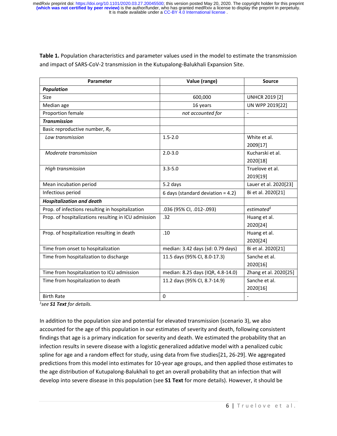**Table 1.** Population characteristics and parameter values used in the model to estimate the transmission and impact of SARS-CoV-2 transmission in the Kutupalong-Balukhali Expansion Site.

| Parameter                                            | Value (range)                        | <b>Source</b>                |  |
|------------------------------------------------------|--------------------------------------|------------------------------|--|
| <b>Population</b>                                    |                                      |                              |  |
| Size                                                 | 600,000                              | <b>UNHCR 2019 [2]</b>        |  |
| Median age                                           | 16 years                             | UN WPP 2019[22]              |  |
| Proportion female                                    | not accounted for                    |                              |  |
| <b>Transmission</b>                                  |                                      |                              |  |
| Basic reproductive number, $R_0$                     |                                      |                              |  |
| Low transmission                                     | $1.5 - 2.0$                          | White et al.                 |  |
|                                                      |                                      | 2009[17]                     |  |
| Moderate transmission                                | $2.0 - 3.0$                          | Kucharski et al.<br>2020[18] |  |
| High transmission                                    | $3.3 - 5.0$                          | Truelove et al.              |  |
|                                                      |                                      | 2019[19]                     |  |
| Mean incubation period                               | 5.2 days                             | Lauer et al. 2020[23]        |  |
| Infectious period                                    | 6 days (standard deviation = $4.2$ ) | Bi et al. 2020[21]           |  |
| <b>Hospitalization and death</b>                     |                                      |                              |  |
| Prop. of infections resulting in hospitalization     | .036 (95% Cl, .012-.093)             | estimated <sup>1</sup>       |  |
| Prop. of hospitalizations resulting in ICU admission | .32                                  | Huang et al.<br>2020[24]     |  |
| Prop. of hospitalization resulting in death          | .10                                  | Huang et al.<br>2020[24]     |  |
| Time from onset to hospitalization                   | median: 3.42 days (sd: 0.79 days)    | Bi et al. 2020[21]           |  |
| Time from hospitalization to discharge               | 11.5 days (95% CI, 8.0-17.3)         | Sanche et al.<br>2020[16]    |  |
| Time from hospitalization to ICU admission           | median: 8.25 days (IQR, 4.8-14.0)    | Zhang et al. 2020[25]        |  |
| Time from hospitalization to death                   | 11.2 days (95% CI, 8.7-14.9)         | Sanche et al.                |  |
|                                                      |                                      | 2020[16]                     |  |
| <b>Birth Rate</b>                                    | 0                                    | $\blacksquare$               |  |

*1 see S1 Text for details.*

In addition to the population size and potential for elevated transmission (scenario 3), we also accounted for the age of this population in our estimates of severity and death, following consistent findings that age is a primary indication for severity and death. We estimated the probability that an infection results in severe disease with a logistic generalized addative model with a penalized cubic spline for age and a random effect for study, using data from five studies[21, 26-29]. We aggregated predictions from this model into estimates for 10-year age groups, and then applied those estimates to the age distribution of Kutupalong-Balukhali to get an overall probability that an infection that will develop into severe disease in this population (see **S1 Text** for more details). However, it should be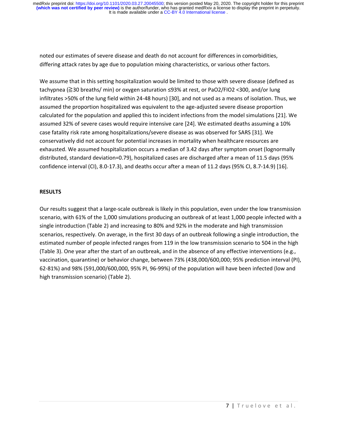noted our estimates of severe disease and death do not account for differences in comorbidities, differing attack rates by age due to population mixing characteristics, or various other factors.

We assume that in this setting hospitalization would be limited to those with severe disease (defined as tachypnea (≧30 breaths/ min) or oxygen saturation ≤93% at rest, or PaO2/FIO2 <300, and/or lung infiltrates >50% of the lung field within 24-48 hours) [30], and not used as a means of isolation. Thus, we assumed the proportion hospitalized was equivalent to the age-adjusted severe disease proportion calculated for the population and applied this to incident infections from the model simulations [21]. We assumed 32% of severe cases would require intensive care [24]. We estimated deaths assuming a 10% case fatality risk rate among hospitalizations/severe disease as was observed for SARS [31]. We conservatively did not account for potential increases in mortality when healthcare resources are exhausted. We assumed hospitalization occurs a median of 3.42 days after symptom onset (lognormally distributed, standard deviation=0.79), hospitalized cases are discharged after a mean of 11.5 days (95% confidence interval (CI), 8.0-17.3), and deaths occur after a mean of 11.2 days (95% CI, 8.7-14.9) [16].

# **RESULTS**

Our results suggest that a large-scale outbreak is likely in this population, even under the low transmission scenario, with 61% of the 1,000 simulations producing an outbreak of at least 1,000 people infected with a single introduction (Table 2) and increasing to 80% and 92% in the moderate and high transmission scenarios, respectively. On average, in the first 30 days of an outbreak following a single introduction, the estimated number of people infected ranges from 119 in the low transmission scenario to 504 in the high (Table 3). One year after the start of an outbreak, and in the absence of any effective interventions (e.g., vaccination, quarantine) or behavior change, between 73% (438,000/600,000; 95% prediction interval (PI), 62-81%) and 98% (591,000/600,000, 95% PI, 96-99%) of the population will have been infected (low and high transmission scenario) (Table 2).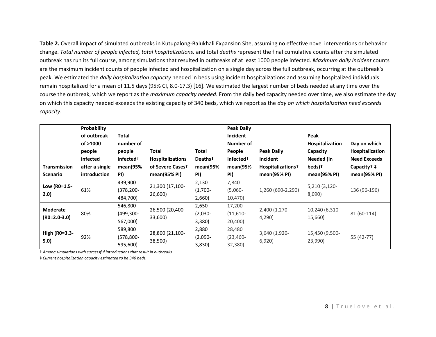**Table 2.** Overall impact of simulated outbreaks in Kutupalong-Balukhali Expansion Site, assuming no effective novel interventions or behavior change. *Total number of people infected, total hospitalizations,* and total *deaths* represent the final cumulative counts after the simulated outbreak has run its full course, among simulations that resulted in outbreaks of at least 1000 people infected. *Maximum daily incident* counts are the maximum incident counts of people infected and hospitalization on a single day across the full outbreak, occurring at the outbreak's peak. We estimated the *daily hospitalization capacity* needed in beds using incident hospitalizations and assuming hospitalized individuals remain hospitalized for a mean of 11.5 days (95% CI, 8.0-17.3) [16]. We estimated the largest number of beds needed at any time over the course the outbreak, which we report as the *maximum capacity needed.* From the daily bed capacity needed over time, we also estimate the day on which this capacity needed exceeds the existing capacity of 340 beds, which we report as the *day on which hospitalization need exceeds capacity*.

|                                 | Probability    |                       |                            |                     |                       | <b>Peak Daily</b>             |                         |                      |  |  |  |
|---------------------------------|----------------|-----------------------|----------------------------|---------------------|-----------------------|-------------------------------|-------------------------|----------------------|--|--|--|
|                                 | of outbreak    | Total                 |                            |                     | Incident              |                               | Peak                    |                      |  |  |  |
|                                 | of >1000       | number of             |                            |                     | Number of             |                               | <b>Hospitalization</b>  | Day on which         |  |  |  |
|                                 | people         | people                | <b>Total</b>               | Total               | People                | <b>Peak Daily</b>             | Capacity                | Hospitalization      |  |  |  |
|                                 | infected       | infected <sup>+</sup> | <b>Hospitalizations</b>    | Deaths <sup>†</sup> | Infected <sup>+</sup> | <b>Incident</b>               | Needed (in              | <b>Need Exceeds</b>  |  |  |  |
| <b>Transmission</b>             | after a single | mean(95%              | of Severe Casest           | mean(95%            | mean(95%              | Hospitalizations <sup>†</sup> | beds) <sup>+</sup>      | Capacity $\dagger$ ‡ |  |  |  |
| <b>Scenario</b>                 | introduction   | PI)                   | mean $(95%$ PI)            | PI)                 | PI)                   | mean $(95%$ PI $)$            | mean(95% PI)            | mean $(95%$ PI $)$   |  |  |  |
| Low (R0=1.5-<br>2.0)            | 61%            | 439,900               | 21,300 (17,100-<br>26,600) | 2,130               | 7,840                 | 1,260 (690-2,290)             | 5,210 (3,120-<br>8,090) | 136 (96-196)         |  |  |  |
|                                 |                | (378,200-             |                            | $(1,700 -$          | $(5,060 -$            |                               |                         |                      |  |  |  |
|                                 |                | 484,700)              |                            | 2,660)              | 10,470)               |                               |                         |                      |  |  |  |
| <b>Moderate</b><br>(RO=2.0-3.0) | 80%            | 546,800               | 26,500 (20,400-            | 2,650               | 17,200                | 2,400 (1,270-                 | 10,240 (6,310-          | 81 (60-114)          |  |  |  |
|                                 |                | (499,300-             |                            | $(2,030 -$          | $(11,610-$            | 4,290)                        |                         |                      |  |  |  |
|                                 |                | 567,000)              | 33,600)                    | 3,380)              | 20,400)               |                               | 15,660)                 |                      |  |  |  |
| High (R0=3.3-<br>5.0)           | 92%            | 589,800               | 28,800 (21,100-            | 2,880               | 28,480                | 3,640 (1,920-                 | 15,450 (9,500-          | 55 (42-77)           |  |  |  |
|                                 |                | $(578, 800 -$         |                            | $(2,090 -$          | $(23, 460 -$          | 6,920                         |                         |                      |  |  |  |
|                                 |                | 595,600)              | 38,500)                    | 3,830)              | 32,380)               |                               | 23,990)                 |                      |  |  |  |

† *Among simulations with successful introductions that result in outbreaks.* 

‡ *Current hospitalization capacity estimated to be 340 beds.*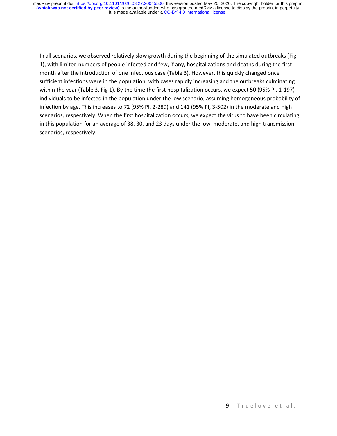In all scenarios, we observed relatively slow growth during the beginning of the simulated outbreaks (Fig 1), with limited numbers of people infected and few, if any, hospitalizations and deaths during the first month after the introduction of one infectious case (Table 3). However, this quickly changed once sufficient infections were in the population, with cases rapidly increasing and the outbreaks culminating within the year (Table 3, Fig 1). By the time the first hospitalization occurs, we expect 50 (95% PI, 1-197) individuals to be infected in the population under the low scenario, assuming homogeneous probability of infection by age. This increases to 72 (95% PI, 2-289) and 141 (95% PI, 3-502) in the moderate and high scenarios, respectively. When the first hospitalization occurs, we expect the virus to have been circulating in this population for an average of 38, 30, and 23 days under the low, moderate, and high transmission scenarios, respectively.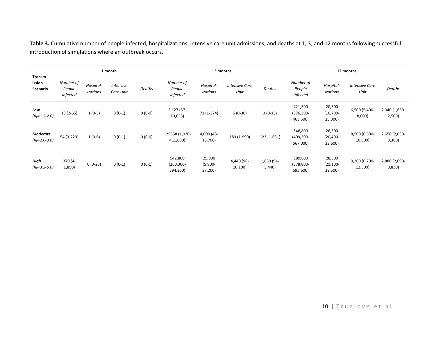**Table 3.** Cumulative number of people infected, hospitalizations, intensive care unit admissions, and deaths at 1, 3, and 12 months following successful introduction of simulations where an outbreak occurs.

| Transm-<br>ission<br>Scenario     | 1 month                                |                       |                        |          | 3 months                               |                                 |                               |                     | 12 months                              |                                   |                               |                        |
|-----------------------------------|----------------------------------------|-----------------------|------------------------|----------|----------------------------------------|---------------------------------|-------------------------------|---------------------|----------------------------------------|-----------------------------------|-------------------------------|------------------------|
|                                   | Number of<br>People<br><b>Infected</b> | Hospital-<br>izations | Intensive<br>Care Unit | Deaths   | Number of<br>People<br><b>Infected</b> | Hospital-<br>izations           | <b>Intensive Care</b><br>Unit | Deaths              | Number of<br>People<br><b>Infected</b> | Hospital-<br>izations             | <b>Intensive Care</b><br>Unit | Deaths                 |
| Low<br>$(R0=1.5-2.0)$             | $18(2-65)$                             | $1(0-3)$              | $0(0-1)$               | $0(0-0)$ | 2,127 (37-<br>10,655)                  | 71 (1-374)                      | $6(0-30)$                     | $3(0-15)$           | 421,500<br>$(376, 300 -$<br>463,500)   | 20,500<br>$(16,700 -$<br>25,000)  | 6,500 (5,400-<br>8,000)       | 2,040 (1,660-<br>2,500 |
| <b>Moderate</b><br>$(R0=2.0-3.0)$ | 54 (3-223)                             | $1(0-6)$              | $0(0-1)$               | $0(0-0)$ | 125838 (1,920-<br>411,000)             | 4,000 (48-<br>16,700)           | 183 (1-990)                   | 123 (1-631)         | 546,800<br>(499,300-<br>567,000)       | 26,500<br>$(20, 400 -$<br>33,600) | 8,500 (6,500-<br>10,800)      | 2,650 (2,030-<br>3,380 |
| High<br>$(R0=3.3-5.0)$            | 370 (4-<br>1,850)                      | $6(0-28)$             | $0(0-1)$               | $0(0-1)$ | 542,800<br>$(260, 300 -$<br>594,300)   | 25,000<br>$(5,900 -$<br>37,200) | 4,440 (98-<br>10,100)         | 1,880 (94-<br>3,440 | 589,800<br>$(578, 800 -$<br>595,600)   | 28,800<br>$(21, 100 -$<br>38,500) | 9,200 (6,700-<br>12,300)      | 2,880 (2,090-<br>3,830 |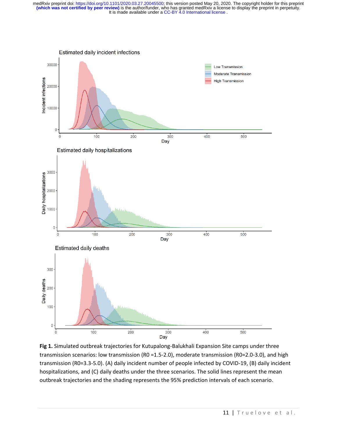

**Fig 1.** Simulated outbreak trajectories for Kutupalong-Balukhali Expansion Site camps under three transmission scenarios: low transmission (R0 =1.5-2.0), moderate transmission (R0=2.0-3.0), and high transmission (R0=3.3-5.0). (A) daily incident number of people infected by COVID-19, (B) daily incident hospitalizations, and (C) daily deaths under the three scenarios. The solid lines represent the mean outbreak trajectories and the shading represents the 95% prediction intervals of each scenario.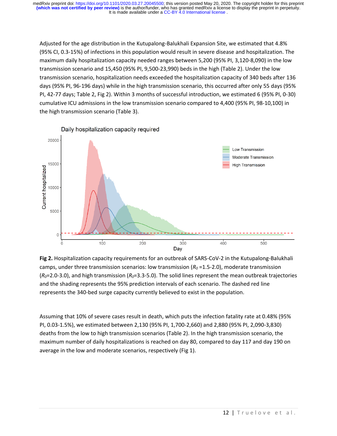Adjusted for the age distribution in the Kutupalong-Balukhali Expansion Site, we estimated that 4.8% (95% CI, 0.3-15%) of infections in this population would result in severe disease and hospitalization. The maximum daily hospitalization capacity needed ranges between 5,200 (95% PI, 3,120-8,090) in the low transmission scenario and 15,450 (95% PI, 9,500-23,990) beds in the high (Table 2). Under the low transmission scenario, hospitalization needs exceeded the hospitalization capacity of 340 beds after 136 days (95% PI, 96-196 days) while in the high transmission scenario, this occurred after only 55 days (95% PI, 42-77 days; Table 2, Fig 2). Within 3 months of successful introduction, we estimated 6 (95% PI, 0-30) cumulative ICU admissions in the low transmission scenario compared to 4,400 (95% PI, 98-10,100) in the high transmission scenario (Table 3).



**Fig 2.** Hospitalization capacity requirements for an outbreak of SARS-CoV-2 in the Kutupalong-Balukhali camps, under three transmission scenarios: low transmission (*R<sup>0</sup>* =1.5-2.0), moderate transmission (*R0*=2.0-3.0), and high transmission (*R0*=3.3-5.0). The solid lines represent the mean outbreak trajectories and the shading represents the 95% prediction intervals of each scenario. The dashed red line represents the 340-bed surge capacity currently believed to exist in the population.

Assuming that 10% of severe cases result in death, which puts the infection fatality rate at 0.48% (95% PI, 0.03-1.5%), we estimated between 2,130 (95% PI, 1,700-2,660) and 2,880 (95% PI, 2,090-3,830) deaths from the low to high transmission scenarios (Table 2). In the high transmission scenario, the maximum number of daily hospitalizations is reached on day 80, compared to day 117 and day 190 on average in the low and moderate scenarios, respectively (Fig 1).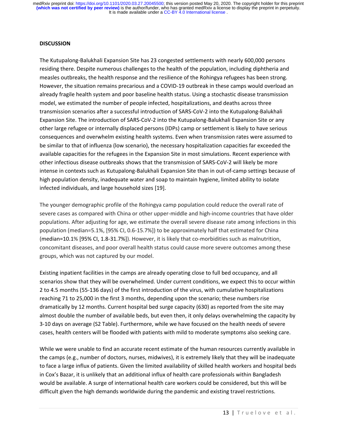#### **DISCUSSION**

The Kutupalong-Balukhali Expansion Site has 23 congested settlements with nearly 600,000 persons residing there. Despite numerous challenges to the health of the population, including diphtheria and measles outbreaks, the health response and the resilience of the Rohingya refugees has been strong. However, the situation remains precarious and a COVID-19 outbreak in these camps would overload an already fragile health system and poor baseline health status. Using a stochastic disease transmission model, we estimated the number of people infected, hospitalizations, and deaths across three transmission scenarios after a successful introduction of SARS-CoV-2 into the Kutupalong-Balukhali Expansion Site. The introduction of SARS-CoV-2 into the Kutupalong-Balukhali Expansion Site or any other large refugee or internally displaced persons (IDPs) camp or settlement is likely to have serious consequences and overwhelm existing health systems. Even when transmission rates were assumed to be similar to that of influenza (low scenario), the necessary hospitalization capacities far exceeded the available capacities for the refugees in the Expansion Site in most simulations. Recent experience with other infectious disease outbreaks shows that the transmission of SARS-CoV-2 will likely be more intense in contexts such as Kutupalong-Balukhali Expansion Site than in out-of-camp settings because of high population density, inadequate water and soap to maintain hygiene, limited ability to isolate infected individuals, and large household sizes [19].

The younger demographic profile of the Rohingya camp population could reduce the overall rate of severe cases as compared with China or other upper-middle and high-income countries that have older populations. After adjusting for age, we estimate the overall severe disease rate among infections in this population (median=5.1%, [95% CI, 0.6-15.7%]) to be approximately half that estimated for China (median=10.1% [95% CI, 1.8-31.7%]). However, it is likely that co-morbidities such as malnutrition, concomitant diseases, and poor overall health status could cause more severe outcomes among these groups, which was not captured by our model.

Existing inpatient facilities in the camps are already operating close to full bed occupancy, and all scenarios show that they will be overwhelmed. Under current conditions, we expect this to occur within 2 to 4.5 months (55-136 days) of the first introduction of the virus, with cumulative hospitalizations reaching 71 to 25,000 in the first 3 months, depending upon the scenario; these numbers rise dramatically by 12 months. Current hospital bed surge capacity (630) as reported from the site may almost double the number of available beds, but even then, it only delays overwhelming the capacity by 3-10 days on average (S2 Table). Furthermore, while we have focused on the health needs of severe cases, health centers will be flooded with patients with mild to moderate symptoms also seeking care.

While we were unable to find an accurate recent estimate of the human resources currently available in the camps (e.g., number of doctors, nurses, midwives), it is extremely likely that they will be inadequate to face a large influx of patients. Given the limited availability of skilled health workers and hospital beds in Cox's Bazar, it is unlikely that an additional influx of health care professionals within Bangladesh would be available. A surge of international health care workers could be considered, but this will be difficult given the high demands worldwide during the pandemic and existing travel restrictions.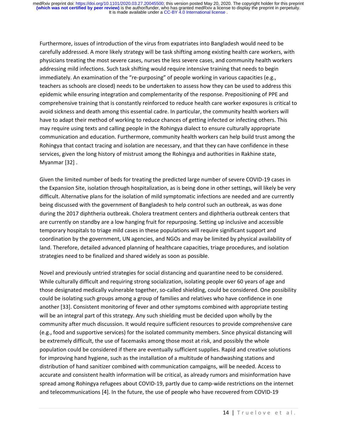Furthermore, issues of introduction of the virus from expatriates into Bangladesh would need to be carefully addressed. A more likely strategy will be task shifting among existing health care workers, with physicians treating the most severe cases, nurses the less severe cases, and community health workers addressing mild infections. Such task shifting would require intensive training that needs to begin immediately. An examination of the "re-purposing" of people working in various capacities (e.g., teachers as schools are closed) needs to be undertaken to assess how they can be used to address this epidemic while ensuring integration and complementarity of the response. Prepositioning of PPE and comprehensive training that is constantly reinforced to reduce health care worker exposures is critical to avoid sickness and death among this essential cadre. In particular, the community health workers will have to adapt their method of working to reduce chances of getting infected or infecting others. This may require using texts and calling people in the Rohingya dialect to ensure culturally appropriate communication and education. Furthermore, community health workers can help build trust among the Rohingya that contact tracing and isolation are necessary, and that they can have confidence in these services, given the long history of mistrust among the Rohingya and authorities in Rakhine state, Myanmar [32] .

Given the limited number of beds for treating the predicted large number of severe COVID-19 cases in the Expansion Site, isolation through hospitalization, as is being done in other settings, will likely be very difficult. Alternative plans for the isolation of mild symptomatic infections are needed and are currently being discussed with the government of Bangladesh to help control such an outbreak, as was done during the 2017 diphtheria outbreak. Cholera treatment centers and diphtheria outbreak centers that are currently on standby are a low hanging fruit for repurposing. Setting up inclusive and accessible temporary hospitals to triage mild cases in these populations will require significant support and coordination by the government, UN agencies, and NGOs and may be limited by physical availability of land. Therefore, detailed advanced planning of healthcare capacities, triage procedures, and isolation strategies need to be finalized and shared widely as soon as possible.

Novel and previously untried strategies for social distancing and quarantine need to be considered. While culturally difficult and requiring strong socialization, isolating people over 60 years of age and those designated medically vulnerable together, so-called shielding, could be considered. One possibility could be isolating such groups among a group of families and relatives who have confidence in one another [33]. Consistent monitoring of fever and other symptoms combined with appropriate testing will be an integral part of this strategy. Any such shielding must be decided upon wholly by the community after much discussion. It would require sufficient resources to provide comprehensive care (e.g., food and supportive services) for the isolated community members. Since physical distancing will be extremely difficult, the use of facemasks among those most at risk, and possibly the whole population could be considered if there are eventually sufficient supplies. Rapid and creative solutions for improving hand hygiene, such as the installation of a multitude of handwashing stations and distribution of hand sanitizer combined with communication campaigns, will be needed. Access to accurate and consistent health information will be critical, as already rumors and misinformation have spread among Rohingya refugees about COVID-19, partly due to camp-wide restrictions on the internet and telecommunications [4]. In the future, the use of people who have recovered from COVID-19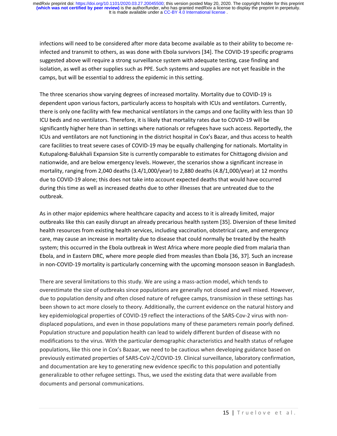infections will need to be considered after more data become available as to their ability to become reinfected and transmit to others, as was done with Ebola survivors [34]. The COVID-19 specific programs suggested above will require a strong surveillance system with adequate testing, case finding and isolation, as well as other supplies such as PPE. Such systems and supplies are not yet feasible in the camps, but will be essential to address the epidemic in this setting.

The three scenarios show varying degrees of increased mortality. Mortality due to COVID-19 is dependent upon various factors, particularly access to hospitals with ICUs and ventilators. Currently, there is only one facility with few mechanical ventilators in the camps and one facility with less than 10 ICU beds and no ventilators. Therefore, it is likely that mortality rates due to COVID-19 will be significantly higher here than in settings where nationals or refugees have such access. Reportedly, the ICUs and ventilators are not functioning in the district hospital in Cox's Bazar, and thus access to health care facilities to treat severe cases of COVID-19 may be equally challenging for nationals. Mortality in Kutupalong-Balukhali Expansion Site is currently comparable to estimates for Chittagong division and nationwide, and are below emergency levels. However, the scenarios show a significant increase in mortality, ranging from 2,040 deaths (3.4/1,000/year) to 2,880 deaths (4.8/1,000/year) at 12 months due to COVID-19 alone; this does not take into account expected deaths that would have occurred during this time as well as increased deaths due to other illnesses that are untreated due to the outbreak.

As in other major epidemics where healthcare capacity and access to it is already limited, major outbreaks like this can easily disrupt an already precarious health system [35]. Diversion of these limited health resources from existing health services, including vaccination, obstetrical care, and emergency care, may cause an increase in mortality due to disease that could normally be treated by the health system; this occurred in the Ebola outbreak in West Africa where more people died from malaria than Ebola, and in Eastern DRC, where more people died from measles than Ebola [36, 37]. Such an increase in non-COVID-19 mortality is particularly concerning with the upcoming monsoon season in Bangladesh.

There are several limitations to this study. We are using a mass-action model, which tends to overestimate the size of outbreaks since populations are generally not closed and well mixed. However, due to population density and often closed nature of refugee camps, transmission in these settings has been shown to act more closely to theory. Additionally, the current evidence on the natural history and key epidemiological properties of COVID-19 reflect the interactions of the SARS-Cov-2 virus with nondisplaced populations, and even in those populations many of these parameters remain poorly defined. Population structure and population health can lead to widely different burden of disease with no modifications to the virus. With the particular demographic characteristics and health status of refugee populations, like this one in Cox's Bazaar, we need to be cautious when developing guidance based on previously estimated properties of SARS-CoV-2/COVID-19. Clinical surveillance, laboratory confirmation, and documentation are key to generating new evidence specific to this population and potentially generalizable to other refugee settings. Thus, we used the existing data that were available from documents and personal communications.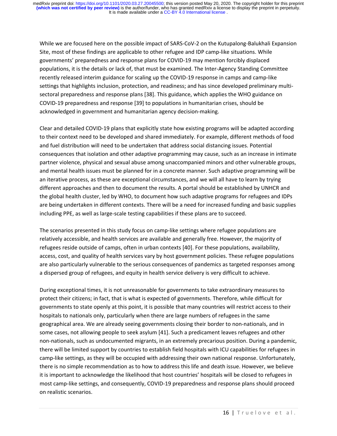While we are focused here on the possible impact of SARS-CoV-2 on the Kutupalong-Balukhali Expansion Site, most of these findings are applicable to other refugee and IDP camp-like situations. While governments' preparedness and response plans for COVID-19 may mention forcibly displaced populations, it is the details or lack of, that must be examined. The Inter-Agency Standing Committee recently released interim guidance for scaling up the COVID-19 response in camps and camp-like settings that highlights inclusion, protection, and readiness; and has since developed preliminary multisectoral preparedness and response plans [38]. This guidance, which applies the WHO guidance on COVID-19 preparedness and response [39] to populations in humanitarian crises, should be acknowledged in government and humanitarian agency decision-making.

Clear and detailed COVID-19 plans that explicitly state how existing programs will be adapted according to their context need to be developed and shared immediately. For example, different methods of food and fuel distribution will need to be undertaken that address social distancing issues. Potential consequences that isolation and other adaptive programming may cause, such as an increase in intimate partner violence, physical and sexual abuse among unaccompanied minors and other vulnerable groups, and mental health issues must be planned for in a concrete manner. Such adaptive programming will be an iterative process, as these are exceptional circumstances, and we will all have to learn by trying different approaches and then to document the results. A portal should be established by UNHCR and the global health cluster, led by WHO, to document how such adaptive programs for refugees and IDPs are being undertaken in different contexts. There will be a need for increased funding and basic supplies including PPE, as well as large-scale testing capabilities if these plans are to succeed.

The scenarios presented in this study focus on camp-like settings where refugee populations are relatively accessible, and health services are available and generally free. However, the majority of refugees reside outside of camps, often in urban contexts [40]. For these populations, availability, access, cost, and quality of health services vary by host government policies. These refugee populations are also particularly vulnerable to the serious consequences of pandemics as targeted responses among a dispersed group of refugees, and equity in health service delivery is very difficult to achieve.

During exceptional times, it is not unreasonable for governments to take extraordinary measures to protect their citizens; in fact, that is what is expected of governments. Therefore, while difficult for governments to state openly at this point, it is possible that many countries will restrict access to their hospitals to nationals only, particularly when there are large numbers of refugees in the same geographical area. We are already seeing governments closing their border to non-nationals, and in some cases, not allowing people to seek asylum [41]. Such a predicament leaves refugees and other non-nationals, such as undocumented migrants, in an extremely precarious position. During a pandemic, there will be limited support by countries to establish field hospitals with ICU capabilities for refugees in camp-like settings, as they will be occupied with addressing their own national response. Unfortunately, there is no simple recommendation as to how to address this life and death issue. However, we believe it is important to acknowledge the likelihood that host countries' hospitals will be closed to refugees in most camp-like settings, and consequently, COVID-19 preparedness and response plans should proceed on realistic scenarios.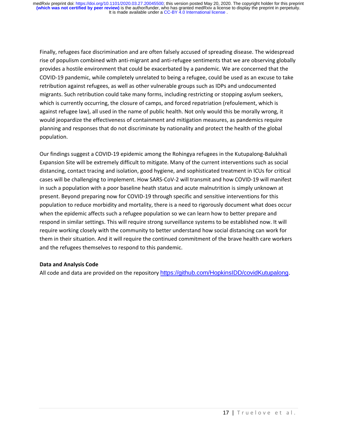Finally, refugees face discrimination and are often falsely accused of spreading disease. The widespread rise of populism combined with anti-migrant and anti-refugee sentiments that we are observing globally provides a hostile environment that could be exacerbated by a pandemic. We are concerned that the COVID-19 pandemic, while completely unrelated to being a refugee, could be used as an excuse to take retribution against refugees, as well as other vulnerable groups such as IDPs and undocumented migrants. Such retribution could take many forms, including restricting or stopping asylum seekers, which is currently occurring, the closure of camps, and forced repatriation (refoulement, which is against refugee law), all used in the name of public health. Not only would this be morally wrong, it would jeopardize the effectiveness of containment and mitigation measures, as pandemics require planning and responses that do not discriminate by nationality and protect the health of the global population.

Our findings suggest a COVID-19 epidemic among the Rohingya refugees in the Kutupalong-Balukhali Expansion Site will be extremely difficult to mitigate. Many of the current interventions such as social distancing, contact tracing and isolation, good hygiene, and sophisticated treatment in ICUs for critical cases will be challenging to implement. How SARS-CoV-2 will transmit and how COVID-19 will manifest in such a population with a poor baseline heath status and acute malnutrition is simply unknown at present. Beyond preparing now for COVID-19 through specific and sensitive interventions for this population to reduce morbidity and mortality, there is a need to rigorously document what does occur when the epidemic affects such a refugee population so we can learn how to better prepare and respond in similar settings. This will require strong surveillance systems to be established now. It will require working closely with the community to better understand how social distancing can work for them in their situation. And it will require the continued commitment of the brave health care workers and the refugees themselves to respond to this pandemic.

# **Data and Analysis Code**

All code and data are provided on the repository [https://github.com/HopkinsIDD/covidKutupalong.](https://github.com/HopkinsIDD/covidKutupalong)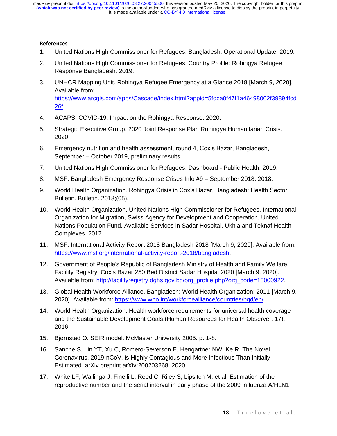# **References**

- 1. United Nations High Commissioner for Refugees. Bangladesh: Operational Update. 2019.
- 2. United Nations High Commissioner for Refugees. Country Profile: Rohingya Refugee Response Bangladesh. 2019.
- 3. UNHCR Mapping Unit. Rohingya Refugee Emergency at a Glance 2018 [March 9, 2020]. Available from: [https://www.arcgis.com/apps/Cascade/index.html?appid=5fdca0f47f1a46498002f39894fcd](https://www.arcgis.com/apps/Cascade/index.html?appid=5fdca0f47f1a46498002f39894fcd26f) [26f.](https://www.arcgis.com/apps/Cascade/index.html?appid=5fdca0f47f1a46498002f39894fcd26f)
- 4. ACAPS. COVID-19: Impact on the Rohingya Response. 2020.
- 5. Strategic Executive Group. 2020 Joint Response Plan Rohingya Humanitarian Crisis. 2020.
- 6. Emergency nutrition and health assessment, round 4, Cox's Bazar, Bangladesh, September – October 2019, preliminary results.
- 7. United Nations High Commissioner for Refugees. Dashboard Public Health. 2019.
- 8. MSF. Bangladesh Emergency Response Crises Info #9 September 2018. 2018.
- 9. World Health Organization. Rohingya Crisis in Cox's Bazar, Bangladesh: Health Sector Bulletin. Bulletin. 2018;(05).
- 10. World Health Organization, United Nations High Commissioner for Refugees, International Organization for Migration, Swiss Agency for Development and Cooperation, United Nations Population Fund. Available Services in Sadar Hospital, Ukhia and Teknaf Health Complexes. 2017.
- 11. MSF. International Activity Report 2018 Bangladesh 2018 [March 9, 2020]. Available from: [https://www.msf.org/international-activity-report-2018/bangladesh.](https://www.msf.org/international-activity-report-2018/bangladesh)
- 12. Government of People's Republic of Bangladesh Ministry of Health and Family Welfare. Facility Registry: Cox's Bazar 250 Bed District Sadar Hospital 2020 [March 9, 2020]. Available from: [http://facilityregistry.dghs.gov.bd/org\\_profile.php?org\\_code=10000922.](http://facilityregistry.dghs.gov.bd/org_profile.php?org_code=10000922)
- 13. Global Health Workforce Alliance. Bangladesh: World Health Organization; 2011 [March 9, 2020]. Available from: [https://www.who.int/workforcealliance/countries/bgd/en/.](https://www.who.int/workforcealliance/countries/bgd/en/)
- 14. World Health Organization. Health workforce requirements for universal health coverage and the Sustainable Development Goals.(Human Resources for Health Observer, 17). 2016.
- 15. Bjørnstad O. SEIR model. McMaster University 2005. p. 1-8.
- 16. Sanche S, Lin YT, Xu C, Romero-Severson E, Hengartner NW, Ke R. The Novel Coronavirus, 2019-nCoV, is Highly Contagious and More Infectious Than Initially Estimated. arXiv preprint arXiv:200203268. 2020.
- 17. White LF, Wallinga J, Finelli L, Reed C, Riley S, Lipsitch M, et al. Estimation of the reproductive number and the serial interval in early phase of the 2009 influenza A/H1N1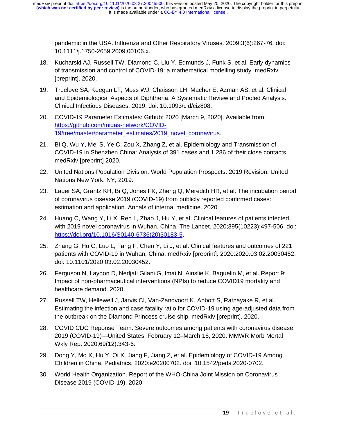pandemic in the USA. Influenza and Other Respiratory Viruses. 2009;3(6):267-76. doi: 10.1111/j.1750-2659.2009.00106.x.

- 18. Kucharski AJ, Russell TW, Diamond C, Liu Y, Edmunds J, Funk S, et al. Early dynamics of transmission and control of COVID-19: a mathematical modelling study. medRxiv [preprint]. 2020.
- 19. Truelove SA, Keegan LT, Moss WJ, Chaisson LH, Macher E, Azman AS, et al. Clinical and Epidemiological Aspects of Diphtheria: A Systematic Review and Pooled Analysis. Clinical Infectious Diseases. 2019. doi: 10.1093/cid/ciz808.
- 20. COVID-19 Parameter Estimates: Github; 2020 [March 9, 2020]. Available from: [https://github.com/midas-network/COVID-](https://github.com/midas-network/COVID-19/tree/master/parameter_estimates/2019_novel_coronavirus)[19/tree/master/parameter\\_estimates/2019\\_novel\\_coronavirus.](https://github.com/midas-network/COVID-19/tree/master/parameter_estimates/2019_novel_coronavirus)
- 21. Bi Q, Wu Y, Mei S, Ye C, Zou X, Zhang Z, et al. Epidemiology and Transmission of COVID-19 in Shenzhen China: Analysis of 391 cases and 1,286 of their close contacts. medRxiv [preprint] 2020.
- 22. United Nations Population Division. World Population Prospects: 2019 Revision. United Nations New York, NY; 2019.
- 23. Lauer SA, Grantz KH, Bi Q, Jones FK, Zheng Q, Meredith HR, et al. The incubation period of coronavirus disease 2019 (COVID-19) from publicly reported confirmed cases: estimation and application. Annals of internal medicine. 2020.
- 24. Huang C, Wang Y, Li X, Ren L, Zhao J, Hu Y, et al. Clinical features of patients infected with 2019 novel coronavirus in Wuhan, China. The Lancet. 2020;395(10223):497-506. doi: [https://doi.org/10.1016/S0140-6736\(20\)30183-5.](https://doi.org/10.1016/S0140-6736(20)30183-5)
- 25. Zhang G, Hu C, Luo L, Fang F, Chen Y, Li J, et al. Clinical features and outcomes of 221 patients with COVID-19 in Wuhan, China. medRxiv [preprint]. 2020:2020.03.02.20030452. doi: 10.1101/2020.03.02.20030452.
- 26. Ferguson N, Laydon D, Nedjati Gilani G, Imai N, Ainslie K, Baguelin M, et al. Report 9: Impact of non-pharmaceutical interventions (NPIs) to reduce COVID19 mortality and healthcare demand. 2020.
- 27. Russell TW, Hellewell J, Jarvis CI, Van-Zandvoort K, Abbott S, Ratnayake R, et al. Estimating the infection and case fatality ratio for COVID-19 using age-adjusted data from the outbreak on the Diamond Princess cruise ship. medRxiv [preprint]. 2020.
- 28. COVID CDC Reponse Team. Severe outcomes among patients with coronavirus disease 2019 (COVID-19)—United States, February 12–March 16, 2020. MMWR Morb Mortal Wkly Rep. 2020;69(12):343-6.
- 29. Dong Y, Mo X, Hu Y, Qi X, Jiang F, Jiang Z, et al. Epidemiology of COVID-19 Among Children in China. Pediatrics. 2020:e20200702. doi: 10.1542/peds.2020-0702.
- 30. World Health Organization. Report of the WHO-China Joint Mission on Coronavirus Disease 2019 (COVID-19). 2020.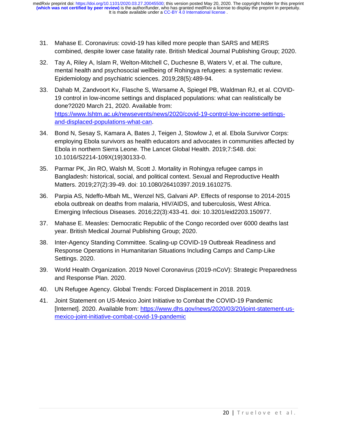- 31. Mahase E. Coronavirus: covid-19 has killed more people than SARS and MERS combined, despite lower case fatality rate. British Medical Journal Publishing Group; 2020.
- 32. Tay A, Riley A, Islam R, Welton-Mitchell C, Duchesne B, Waters V, et al. The culture, mental health and psychosocial wellbeing of Rohingya refugees: a systematic review. Epidemiology and psychiatric sciences. 2019;28(5):489-94.
- 33. Dahab M, Zandvoort Kv, Flasche S, Warsame A, Spiegel PB, Waldman RJ, et al. COVID-19 control in low-income settings and displaced populations: what can realistically be done?2020 March 21, 2020. Available from: [https://www.lshtm.ac.uk/newsevents/news/2020/covid-19-control-low-income-settings](https://www.lshtm.ac.uk/newsevents/news/2020/covid-19-control-low-income-settings-and-displaced-populations-what-can)[and-displaced-populations-what-can.](https://www.lshtm.ac.uk/newsevents/news/2020/covid-19-control-low-income-settings-and-displaced-populations-what-can)
- 34. Bond N, Sesay S, Kamara A, Bates J, Teigen J, Stowlow J, et al. Ebola Survivor Corps: employing Ebola survivors as health educators and advocates in communities affected by Ebola in northern Sierra Leone. The Lancet Global Health. 2019;7:S48. doi: 10.1016/S2214-109X(19)30133-0.
- 35. Parmar PK, Jin RO, Walsh M, Scott J. Mortality in Rohingya refugee camps in Bangladesh: historical, social, and political context. Sexual and Reproductive Health Matters. 2019;27(2):39-49. doi: 10.1080/26410397.2019.1610275.
- 36. Parpia AS, Ndeffo-Mbah ML, Wenzel NS, Galvani AP. Effects of response to 2014-2015 ebola outbreak on deaths from malaria, HIV/AIDS, and tuberculosis, West Africa. Emerging Infectious Diseases. 2016;22(3):433-41. doi: 10.3201/eid2203.150977.
- 37. Mahase E. Measles: Democratic Republic of the Congo recorded over 6000 deaths last year. British Medical Journal Publishing Group; 2020.
- 38. Inter-Agency Standing Committee. Scaling-up COVID-19 Outbreak Readiness and Response Operations in Humanitarian Situations Including Camps and Camp-Like Settings. 2020.
- 39. World Health Organization. 2019 Novel Coronavirus (2019‐nCoV): Strategic Preparedness and Response Plan. 2020.
- 40. UN Refugee Agency. Global Trends: Forced Displacement in 2018. 2019.
- 41. Joint Statement on US-Mexico Joint Initiative to Combat the COVID-19 Pandemic [Internet]. 2020. Available from: [https://www.dhs.gov/news/2020/03/20/joint-statement-us](https://www.dhs.gov/news/2020/03/20/joint-statement-us-mexico-joint-initiative-combat-covid-19-pandemic)[mexico-joint-initiative-combat-covid-19-pandemic](https://www.dhs.gov/news/2020/03/20/joint-statement-us-mexico-joint-initiative-combat-covid-19-pandemic)